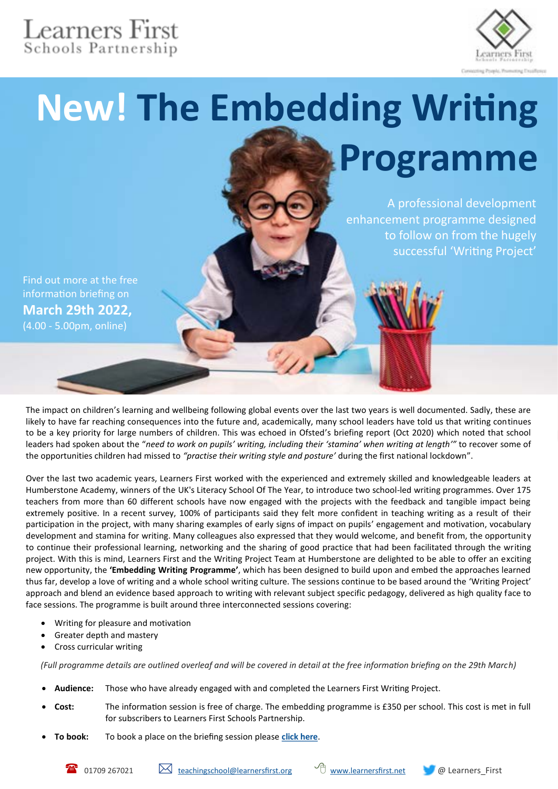## Learners First<br>Schools Partnership



# **New! The Embedding Writing Programme**

A professional development enhancement programme designed to follow on from the hugely successful 'Writing Project'

Find out more at the free information briefing on **March 29th 2022,** (4.00 - 5.00pm, online)

The impact on children's learning and wellbeing following global events over the last two years is well documented. Sadly, these are likely to have far reaching consequences into the future and, academically, many school leaders have told us that writing continues to be a key priority for large numbers of children. This was echoed in Ofsted's briefing report (Oct 2020) which noted that school leaders had spoken about the "*need to work on pupils' writing, including their 'stamina' when writing at length'"* to recover some of the opportunities children had missed to *"practise their writing style and posture'* during the first national lockdown".

Over the last two academic years, Learners First worked with the experienced and extremely skilled and knowledgeable leaders at Humberstone Academy, winners of the UK's Literacy School Of The Year, to introduce two school-led writing programmes. Over 175 teachers from more than 60 different schools have now engaged with the projects with the feedback and tangible impact being extremely positive. In a recent survey, 100% of participants said they felt more confident in teaching writing as a result of their participation in the project, with many sharing examples of early signs of impact on pupils' engagement and motivation, vocabulary development and stamina for writing. Many colleagues also expressed that they would welcome, and benefit from, the opportunity to continue their professional learning, networking and the sharing of good practice that had been facilitated through the writing project. With this is mind, Learners First and the Writing Project Team at Humberstone are delighted to be able to offer an exciting new opportunity, the **'Embedding Writing Programme'**, which has been designed to build upon and embed the approaches learned thus far, develop a love of writing and a whole school writing culture. The sessions continue to be based around the 'Writing Project' approach and blend an evidence based approach to writing with relevant subject specific pedagogy, delivered as high quality face to face sessions. The programme is built around three interconnected sessions covering:

- Writing for pleasure and motivation
- Greater depth and mastery
- Cross curricular writing

*(Full programme details are outlined overleaf and will be covered in detail at the free information briefing on the 29th March)*

- **Audience:** Those who have already engaged with and completed the Learners First Writing Project.
- **Cost:** The information session is free of charge. The embedding programme is £350 per school. This cost is met in full for subscribers to Learners First Schools Partnership.
- **To book:** To book a place on the briefing session please **[click here](https://forms.gle/sTR7r6LNSpctAVbH9)**.

01709 267021 [teachingschool@learnersfirst.org](mailto:teachingschool@learnersfirst.org) [www.learnersfirst.net](http://www.learnersfirst.net) @ Learners\_First